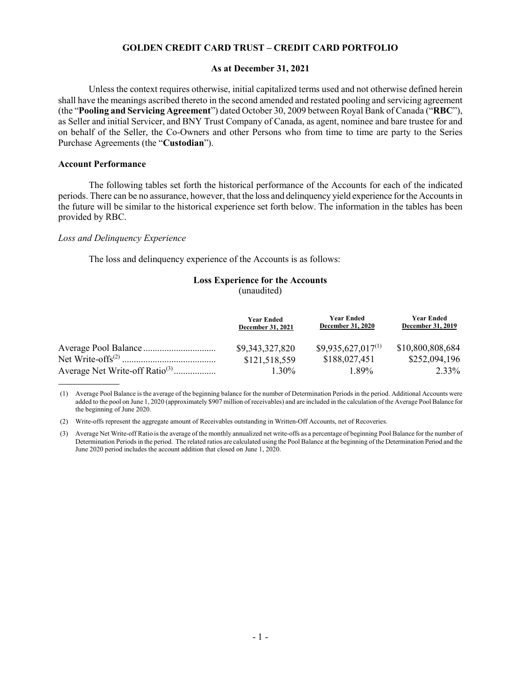## **GOLDEN CREDIT CARD TRUST – CREDIT CARD PORTFOLIO**

### **As at December 31, 2021**

Unless the context requires otherwise, initial capitalized terms used and not otherwise defined herein shall have the meanings ascribed thereto in the second amended and restated pooling and servicing agreement (the "**Pooling and Servicing Agreement**") dated October 30, 2009 between Royal Bank of Canada ("**RBC**"), as Seller and initial Servicer, and BNY Trust Company of Canada, as agent, nominee and bare trustee for and on behalf of the Seller, the Co-Owners and other Persons who from time to time are party to the Series Purchase Agreements (the "**Custodian**").

## **Account Performance**

The following tables set forth the historical performance of the Accounts for each of the indicated periods. There can be no assurance, however, that the loss and delinquency yield experience for the Accounts in the future will be similar to the historical experience set forth below. The information in the tables has been provided by RBC.

## *Loss and Delinquency Experience*

The loss and delinquency experience of the Accounts is as follows:

## **Loss Experience for the Accounts**  (unaudited)

|                                            | <b>Year Ended</b><br>December 31, 2021 | <b>Year Ended</b><br><b>December 31, 2020</b> | <b>Year Ended</b><br><b>December 31, 2019</b> |
|--------------------------------------------|----------------------------------------|-----------------------------------------------|-----------------------------------------------|
|                                            | \$9,343,327,820                        | $$9,935,627,017^{(1)}$                        | \$10,800,808,684                              |
|                                            | \$121,518,559                          | \$188,027,451                                 | \$252,094,196                                 |
| Average Net Write-off Ratio <sup>(3)</sup> | $1.30\%$                               | 1.89%                                         | 2.33%                                         |

(1) Average Pool Balance is the average of the beginning balance for the number of Determination Periods in the period. Additional Accounts were added to the pool on June 1, 2020 (approximately \$907 million of receivables) and are included in the calculation of the Average Pool Balance for the beginning of June 2020.

(2) Write-offs represent the aggregate amount of Receivables outstanding in Written-Off Accounts, net of Recoveries.

(3) Average Net Write-off Ratio is the average of the monthly annualized net write-offs as a percentage of beginning Pool Balance for the number of Determination Periods in the period. The related ratios are calculated using the Pool Balance at the beginning of the Determination Period and the June 2020 period includes the account addition that closed on June 1, 2020.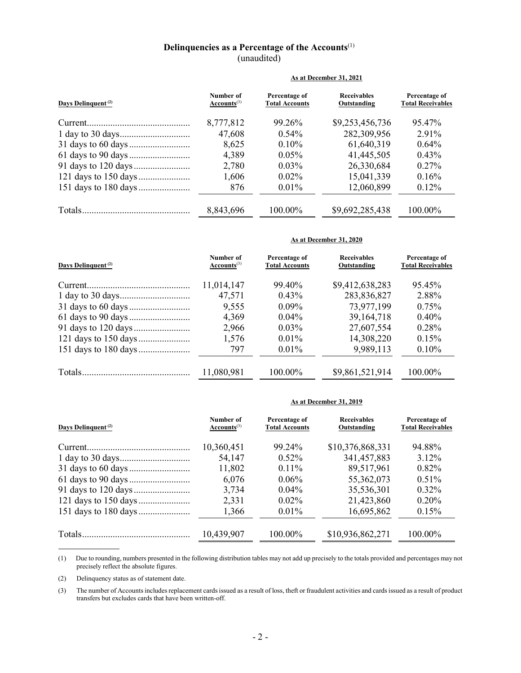# **Delinquencies as a Percentage of the Accounts**(1) (unaudited)

|                                | As at December 31, 2021       |                                        |                                   |                                           |
|--------------------------------|-------------------------------|----------------------------------------|-----------------------------------|-------------------------------------------|
| Days Delinquent <sup>(2)</sup> | Number of<br>$Accounts^{(3)}$ | Percentage of<br><b>Total Accounts</b> | <b>Receivables</b><br>Outstanding | Percentage of<br><b>Total Receivables</b> |
|                                | 8,777,812                     | 99.26%                                 | \$9,253,456,736                   | 95.47%                                    |
|                                | 47,608                        | $0.54\%$                               | 282,309,956                       | 2.91%                                     |
|                                | 8,625                         | $0.10\%$                               | 61,640,319                        | $0.64\%$                                  |
|                                | 4,389                         | $0.05\%$                               | 41,445,505                        | 0.43%                                     |
|                                | 2,780                         | $0.03\%$                               | 26,330,684                        | $0.27\%$                                  |
|                                | 1,606                         | $0.02\%$                               | 15,041,339                        | 0.16%                                     |
|                                | 876                           | $0.01\%$                               | 12,060,899                        | 0.12%                                     |
|                                | 8,843,696                     | 100.00%                                | \$9,692,285,438                   | 100.00%                                   |

#### **As at December 31, 2020**

| Days Delinquent <sup>(2)</sup> | Number of<br>$Accounts^{(3)}$ | Percentage of<br><b>Total Accounts</b> | <b>Receivables</b><br>Outstanding | Percentage of<br><b>Total Receivables</b> |
|--------------------------------|-------------------------------|----------------------------------------|-----------------------------------|-------------------------------------------|
|                                | 11,014,147                    | 99.40%                                 | \$9,412,638,283                   | 95.45%                                    |
|                                | 47,571                        | $0.43\%$                               | 283,836,827                       | 2.88%                                     |
|                                | 9,555                         | $0.09\%$                               | 73,977,199                        | 0.75%                                     |
|                                | 4,369                         | $0.04\%$                               | 39, 164, 718                      | $0.40\%$                                  |
|                                | 2,966                         | $0.03\%$                               | 27,607,554                        | 0.28%                                     |
|                                | 1,576                         | $0.01\%$                               | 14,308,220                        | $0.15\%$                                  |
|                                | 797                           | $0.01\%$                               | 9,989,113                         | $0.10\%$                                  |
|                                | 11,080,981                    | 100.00%                                | \$9,861,521,914                   | 100.00%                                   |

### **As at December 31, 2019**

| Days Delinquent <sup>(2)</sup> | Number of<br>$Accounts^{(3)}$ | Percentage of<br><b>Total Accounts</b> | <b>Receivables</b><br>Outstanding | Percentage of<br><b>Total Receivables</b> |
|--------------------------------|-------------------------------|----------------------------------------|-----------------------------------|-------------------------------------------|
|                                | 10,360,451                    | 99.24%                                 | \$10,376,868,331                  | 94.88%                                    |
|                                | 54,147                        | $0.52\%$                               | 341, 457, 883                     | $3.12\%$                                  |
|                                | 11,802                        | $0.11\%$                               | 89,517,961                        | $0.82\%$                                  |
|                                | 6,076                         | $0.06\%$                               | 55,362,073                        | $0.51\%$                                  |
|                                | 3,734                         | $0.04\%$                               | 35,536,301                        | $0.32\%$                                  |
|                                | 2,331                         | $0.02\%$                               | 21,423,860                        | $0.20\%$                                  |
|                                | 1,366                         | $0.01\%$                               | 16,695,862                        | 0.15%                                     |
|                                | 10,439,907                    | 100.00%                                | \$10,936,862,271                  | 100.00%                                   |

(1) Due to rounding, numbers presented in the following distribution tables may not add up precisely to the totals provided and percentages may not precisely reflect the absolute figures.

(2) Delinquency status as of statement date.

(3) The number of Accounts includes replacement cards issued as a result of loss, theft or fraudulent activities and cards issued as a result of product transfers but excludes cards that have been written-off.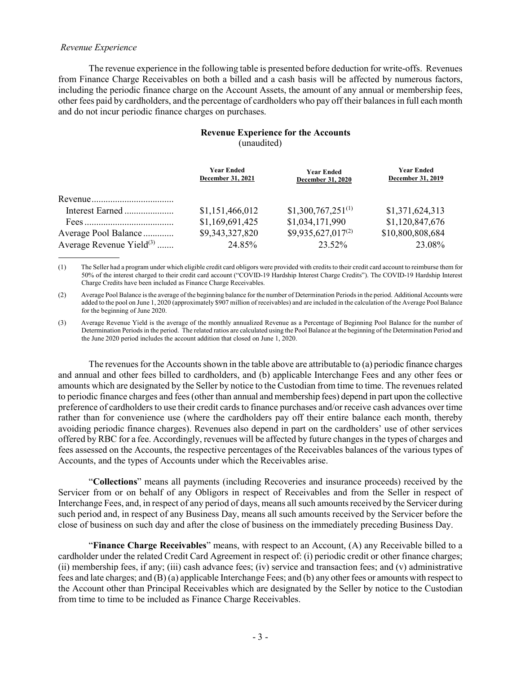## *Revenue Experience*

The revenue experience in the following table is presented before deduction for write-offs. Revenues from Finance Charge Receivables on both a billed and a cash basis will be affected by numerous factors, including the periodic finance charge on the Account Assets, the amount of any annual or membership fees, other fees paid by cardholders, and the percentage of cardholders who pay off their balances in full each month and do not incur periodic finance charges on purchases.

# **Revenue Experience for the Accounts**  (unaudited)

|                                      | <b>Year Ended</b><br>December 31, 2021 | <b>Year Ended</b><br><b>December 31, 2020</b> | Year Ended<br><b>December 31, 2019</b> |
|--------------------------------------|----------------------------------------|-----------------------------------------------|----------------------------------------|
|                                      |                                        |                                               |                                        |
| Interest Earned                      | \$1,151,466,012                        | $$1,300,767,251^{(1)}$                        | \$1,371,624,313                        |
|                                      | \$1,169,691,425                        | \$1,034,171,990                               | \$1,120,847,676                        |
| Average Pool Balance                 | \$9,343,327,820                        | $$9,935,627,017^{(2)}$                        | \$10,800,808,684                       |
| Average Revenue Yield <sup>(3)</sup> | 24.85%                                 | 23.52%                                        | 23.08%                                 |

(1) The Seller had a program under which eligible credit card obligors were provided with credits to their credit card account to reimburse them for 50% of the interest charged to their credit card account ("COVID-19 Hardship Interest Charge Credits"). The COVID-19 Hardship Interest Charge Credits have been included as Finance Charge Receivables.

(2) Average Pool Balance is the average of the beginning balance for the number of Determination Periods in the period. Additional Accounts were added to the pool on June 1, 2020 (approximately \$907 million of receivables) and are included in the calculation of the Average Pool Balance for the beginning of June 2020.

(3) Average Revenue Yield is the average of the monthly annualized Revenue as a Percentage of Beginning Pool Balance for the number of Determination Periods in the period. The related ratios are calculated using the Pool Balance at the beginning of the Determination Period and the June 2020 period includes the account addition that closed on June 1, 2020.

The revenues for the Accounts shown in the table above are attributable to (a) periodic finance charges and annual and other fees billed to cardholders, and (b) applicable Interchange Fees and any other fees or amounts which are designated by the Seller by notice to the Custodian from time to time. The revenues related to periodic finance charges and fees (other than annual and membership fees) depend in part upon the collective preference of cardholders to use their credit cards to finance purchases and/or receive cash advances over time rather than for convenience use (where the cardholders pay off their entire balance each month, thereby avoiding periodic finance charges). Revenues also depend in part on the cardholders' use of other services offered by RBC for a fee. Accordingly, revenues will be affected by future changes in the types of charges and fees assessed on the Accounts, the respective percentages of the Receivables balances of the various types of Accounts, and the types of Accounts under which the Receivables arise.

"**Collections**" means all payments (including Recoveries and insurance proceeds) received by the Servicer from or on behalf of any Obligors in respect of Receivables and from the Seller in respect of Interchange Fees, and, in respect of any period of days, means all such amounts received by the Servicer during such period and, in respect of any Business Day, means all such amounts received by the Servicer before the close of business on such day and after the close of business on the immediately preceding Business Day.

"**Finance Charge Receivables**" means, with respect to an Account, (A) any Receivable billed to a cardholder under the related Credit Card Agreement in respect of: (i) periodic credit or other finance charges; (ii) membership fees, if any; (iii) cash advance fees; (iv) service and transaction fees; and (v) administrative fees and late charges; and (B) (a) applicable Interchange Fees; and (b) any other fees or amounts with respect to the Account other than Principal Receivables which are designated by the Seller by notice to the Custodian from time to time to be included as Finance Charge Receivables.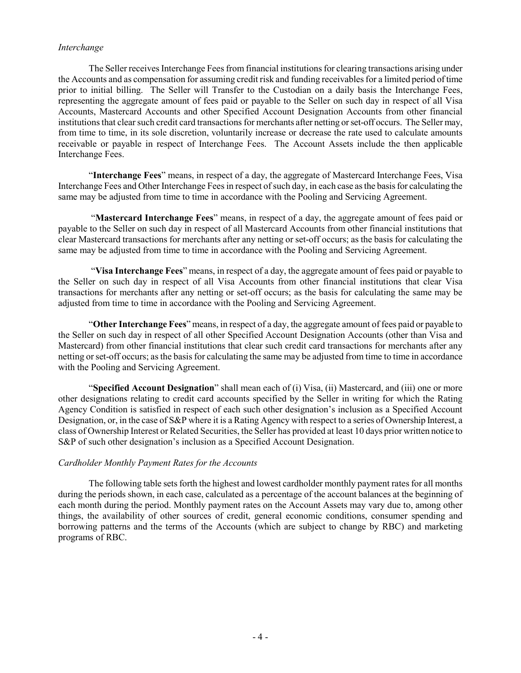# *Interchange*

The Seller receives Interchange Fees from financial institutions for clearing transactions arising under the Accounts and as compensation for assuming credit risk and funding receivables for a limited period of time prior to initial billing. The Seller will Transfer to the Custodian on a daily basis the Interchange Fees, representing the aggregate amount of fees paid or payable to the Seller on such day in respect of all Visa Accounts, Mastercard Accounts and other Specified Account Designation Accounts from other financial institutions that clear such credit card transactions for merchants after netting or set-off occurs. The Seller may, from time to time, in its sole discretion, voluntarily increase or decrease the rate used to calculate amounts receivable or payable in respect of Interchange Fees. The Account Assets include the then applicable Interchange Fees.

"**Interchange Fees**" means, in respect of a day, the aggregate of Mastercard Interchange Fees, Visa Interchange Fees and Other Interchange Fees in respect of such day, in each case as the basis for calculating the same may be adjusted from time to time in accordance with the Pooling and Servicing Agreement.

"**Mastercard Interchange Fees**" means, in respect of a day, the aggregate amount of fees paid or payable to the Seller on such day in respect of all Mastercard Accounts from other financial institutions that clear Mastercard transactions for merchants after any netting or set-off occurs; as the basis for calculating the same may be adjusted from time to time in accordance with the Pooling and Servicing Agreement.

"**Visa Interchange Fees**" means, in respect of a day, the aggregate amount of fees paid or payable to the Seller on such day in respect of all Visa Accounts from other financial institutions that clear Visa transactions for merchants after any netting or set-off occurs; as the basis for calculating the same may be adjusted from time to time in accordance with the Pooling and Servicing Agreement.

"**Other Interchange Fees**" means, in respect of a day, the aggregate amount of fees paid or payable to the Seller on such day in respect of all other Specified Account Designation Accounts (other than Visa and Mastercard) from other financial institutions that clear such credit card transactions for merchants after any netting or set-off occurs; as the basis for calculating the same may be adjusted from time to time in accordance with the Pooling and Servicing Agreement.

"**Specified Account Designation**" shall mean each of (i) Visa, (ii) Mastercard, and (iii) one or more other designations relating to credit card accounts specified by the Seller in writing for which the Rating Agency Condition is satisfied in respect of each such other designation's inclusion as a Specified Account Designation, or, in the case of S&P where it is a Rating Agency with respect to a series of Ownership Interest, a class of Ownership Interest or Related Securities, the Seller has provided at least 10 days prior written notice to S&P of such other designation's inclusion as a Specified Account Designation.

# *Cardholder Monthly Payment Rates for the Accounts*

The following table sets forth the highest and lowest cardholder monthly payment rates for all months during the periods shown, in each case, calculated as a percentage of the account balances at the beginning of each month during the period. Monthly payment rates on the Account Assets may vary due to, among other things, the availability of other sources of credit, general economic conditions, consumer spending and borrowing patterns and the terms of the Accounts (which are subject to change by RBC) and marketing programs of RBC.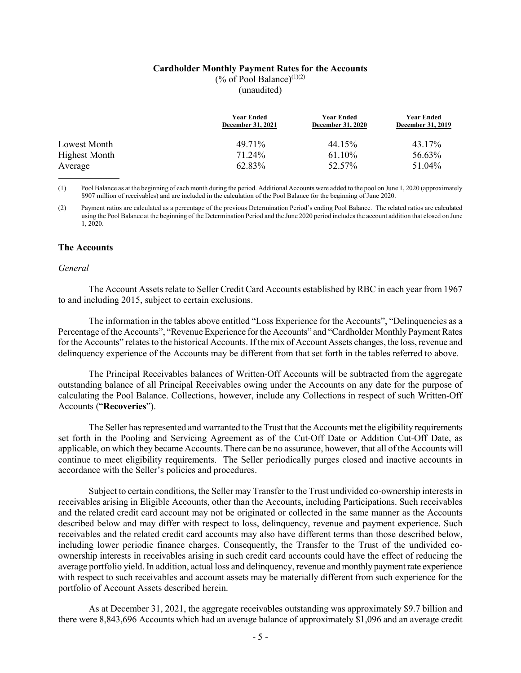#### **Cardholder Monthly Payment Rates for the Accounts**

(% of Pool Balance) $(1)(2)$ 

(unaudited)

|                      | Year Ended<br><b>December 31, 2021</b> | <b>Year Ended</b><br><b>December 31, 2020</b> | <b>Year Ended</b><br><b>December 31, 2019</b> |
|----------------------|----------------------------------------|-----------------------------------------------|-----------------------------------------------|
| Lowest Month         | 49.71%                                 | 44.15%                                        | 43.17%                                        |
| <b>Highest Month</b> | 71.24%                                 | 61.10%                                        | 56.63%                                        |
| Average              | 62.83%                                 | 52.57%                                        | 51.04%                                        |

(1) Pool Balance as at the beginning of each month during the period. Additional Accounts were added to the pool on June 1, 2020 (approximately \$907 million of receivables) and are included in the calculation of the Pool Balance for the beginning of June 2020.

(2) Payment ratios are calculated as a percentage of the previous Determination Period's ending Pool Balance. The related ratios are calculated using the Pool Balance at the beginning of the Determination Period and the June 2020 period includes the account addition that closed on June 1, 2020.

# **The Accounts**

### *General*

The Account Assets relate to Seller Credit Card Accounts established by RBC in each year from 1967 to and including 2015, subject to certain exclusions.

The information in the tables above entitled "Loss Experience for the Accounts", "Delinquencies as a Percentage of the Accounts", "Revenue Experience for the Accounts" and "Cardholder Monthly Payment Rates for the Accounts" relates to the historical Accounts. If the mix of Account Assets changes, the loss, revenue and delinquency experience of the Accounts may be different from that set forth in the tables referred to above.

The Principal Receivables balances of Written-Off Accounts will be subtracted from the aggregate outstanding balance of all Principal Receivables owing under the Accounts on any date for the purpose of calculating the Pool Balance. Collections, however, include any Collections in respect of such Written-Off Accounts ("**Recoveries**").

The Seller has represented and warranted to the Trust that the Accounts met the eligibility requirements set forth in the Pooling and Servicing Agreement as of the Cut-Off Date or Addition Cut-Off Date, as applicable, on which they became Accounts. There can be no assurance, however, that all of the Accounts will continue to meet eligibility requirements. The Seller periodically purges closed and inactive accounts in accordance with the Seller's policies and procedures.

Subject to certain conditions, the Seller may Transfer to the Trust undivided co-ownership interests in receivables arising in Eligible Accounts, other than the Accounts, including Participations. Such receivables and the related credit card account may not be originated or collected in the same manner as the Accounts described below and may differ with respect to loss, delinquency, revenue and payment experience. Such receivables and the related credit card accounts may also have different terms than those described below, including lower periodic finance charges. Consequently, the Transfer to the Trust of the undivided coownership interests in receivables arising in such credit card accounts could have the effect of reducing the average portfolio yield. In addition, actual loss and delinquency, revenue and monthly payment rate experience with respect to such receivables and account assets may be materially different from such experience for the portfolio of Account Assets described herein.

As at December 31, 2021, the aggregate receivables outstanding was approximately \$9.7 billion and there were 8,843,696 Accounts which had an average balance of approximately \$1,096 and an average credit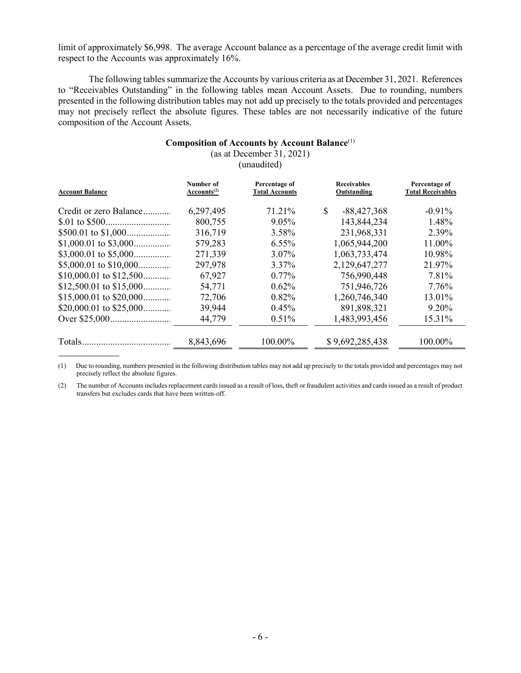limit of approximately \$6,998. The average Account balance as a percentage of the average credit limit with respect to the Accounts was approximately 16%.

The following tables summarize the Accounts by various criteria as at December 31, 2021. References to "Receivables Outstanding" in the following tables mean Account Assets. Due to rounding, numbers presented in the following distribution tables may not add up precisely to the totals provided and percentages may not precisely reflect the absolute figures. These tables are not necessarily indicative of the future composition of the Account Assets.

### **Composition of Accounts by Account Balance**(1)

(as at December 31, 2021)

(unaudited)

| <b>Account Balance</b> | Number of<br>Accounts <sup>(2)</sup> | Percentage of<br><b>Total Accounts</b> | <b>Receivables</b><br>Outstanding | Percentage of<br><b>Total Receivables</b> |
|------------------------|--------------------------------------|----------------------------------------|-----------------------------------|-------------------------------------------|
| Credit or zero Balance | 6,297,495                            | 71.21%                                 | $\mathbb{S}$<br>$-88,427,368$     | $-0.91\%$                                 |
|                        | 800,755                              | $9.05\%$                               | 143,844,234                       | 1.48%                                     |
|                        | 316,719                              | $3.58\%$                               | 231,968,331                       | 2.39%                                     |
|                        | 579,283                              | $6.55\%$                               | 1,065,944,200                     | 11.00%                                    |
|                        | 271,339                              | $3.07\%$                               | 1,063,733,474                     | 10.98%                                    |
|                        | 297,978                              | 3.37%                                  | 2,129,647,277                     | 21.97%                                    |
|                        | 67,927                               | $0.77\%$                               | 756,990,448                       | 7.81%                                     |
|                        | 54,771                               | $0.62\%$                               | 751,946,726                       | 7.76%                                     |
|                        | 72,706                               | $0.82\%$                               | 1,260,746,340                     | 13.01%                                    |
|                        | 39,944                               | $0.45\%$                               | 891,898,321                       | 9.20%                                     |
|                        | 44,779                               | 0.51%                                  | 1,483,993,456                     | 15.31%                                    |
|                        | 8,843,696                            | 100.00%                                | \$9,692,285,438                   | 100.00%                                   |

(1) Due to rounding, numbers presented in the following distribution tables may not add up precisely to the totals provided and percentages may not precisely reflect the absolute figures.

(2) The number of Accounts includes replacement cards issued as a result of loss, theft or fraudulent activities and cards issued as a result of product transfers but excludes cards that have been written-off.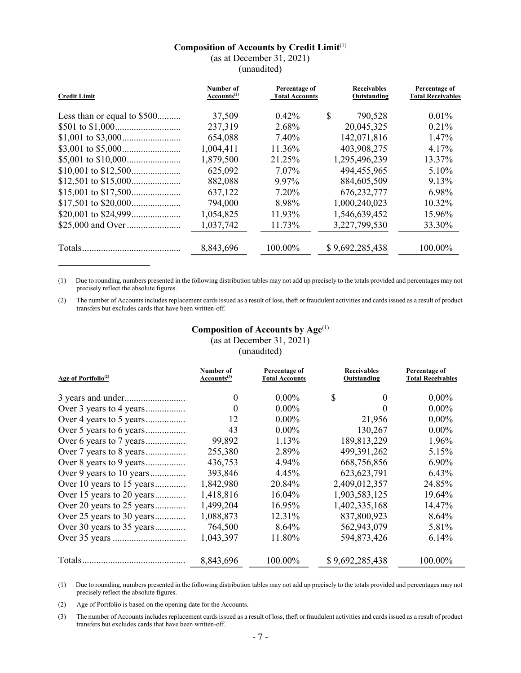# **Composition of Accounts by Credit Limit**(1)

(as at December 31, 2021)

(unaudited)

| <b>Credit Limit</b>         | Number of<br>Accounts <sup>(2)</sup> | Percentage of<br><b>Total Accounts</b> | <b>Receivables</b><br>Outstanding | Percentage of<br><b>Total Receivables</b> |
|-----------------------------|--------------------------------------|----------------------------------------|-----------------------------------|-------------------------------------------|
| Less than or equal to \$500 | 37,509                               | $0.42\%$                               | \$<br>790,528                     | $0.01\%$                                  |
|                             | 237,319                              | 2.68%                                  | 20,045,325                        | $0.21\%$                                  |
|                             | 654,088                              | 7.40%                                  | 142,071,816                       | $1.47\%$                                  |
|                             | 1,004,411                            | 11.36%                                 | 403,908,275                       | 4.17%                                     |
|                             | 1,879,500                            | 21.25%                                 | 1,295,496,239                     | 13.37%                                    |
|                             | 625,092                              | 7.07%                                  | 494,455,965                       | 5.10%                                     |
|                             | 882,088                              | 9.97%                                  | 884,605,509                       | 9.13%                                     |
|                             | 637,122                              | 7.20%                                  | 676, 232, 777                     | 6.98%                                     |
|                             | 794,000                              | 8.98%                                  | 1,000,240,023                     | $10.32\%$                                 |
|                             | 1,054,825                            | 11.93%                                 | 1,546,639,452                     | 15.96%                                    |
|                             | 1,037,742                            | 11.73%                                 | 3,227,799,530                     | 33.30%                                    |
|                             | 8,843,696                            | 100.00%                                | \$9,692,285,438                   | 100.00%                                   |

(1) Due to rounding, numbers presented in the following distribution tables may not add up precisely to the totals provided and percentages may not precisely reflect the absolute figures.

(2) The number of Accounts includes replacement cards issued as a result of loss, theft or fraudulent activities and cards issued as a result of product transfers but excludes cards that have been written-off.

# **Composition of Accounts by Age**(1) (as at December 31, 2021)

(unaudited)

| Number of<br>Accounts <sup>(3)</sup> | Percentage of<br><b>Total Accounts</b> | <b>Receivables</b><br>Outstanding | Percentage of<br><b>Total Receivables</b> |
|--------------------------------------|----------------------------------------|-----------------------------------|-------------------------------------------|
| $\theta$                             | $0.00\%$                               | \$<br>$\theta$                    | $0.00\%$                                  |
| $\theta$                             | $0.00\%$                               | 0                                 | $0.00\%$                                  |
| 12                                   | $0.00\%$                               | 21,956                            | $0.00\%$                                  |
| 43                                   | $0.00\%$                               | 130,267                           | $0.00\%$                                  |
| 99,892                               | 1.13%                                  | 189,813,229                       | 1.96%                                     |
| 255,380                              | 2.89%                                  | 499,391,262                       | 5.15%                                     |
| 436,753                              | 4.94%                                  | 668,756,856                       | $6.90\%$                                  |
| 393,846                              | 4.45%                                  | 623, 623, 791                     | 6.43%                                     |
| 1,842,980                            | 20.84%                                 | 2,409,012,357                     | 24.85%                                    |
| 1,418,816                            | 16.04%                                 | 1,903,583,125                     | 19.64%                                    |
| 1,499,204                            | 16.95%                                 | 1,402,335,168                     | 14.47%                                    |
| 1,088,873                            | 12.31%                                 | 837,800,923                       | 8.64%                                     |
| 764,500                              | $8.64\%$                               | 562,943,079                       | 5.81%                                     |
| 1,043,397                            | 11.80%                                 | 594,873,426                       | 6.14%                                     |
|                                      |                                        |                                   | 100.00%                                   |
|                                      | 8,843,696                              | 100.00%                           | \$9,692,285,438                           |

(1) Due to rounding, numbers presented in the following distribution tables may not add up precisely to the totals provided and percentages may not precisely reflect the absolute figures.

(2) Age of Portfolio is based on the opening date for the Accounts.

(3) The number of Accounts includesreplacement cards issued as a result of loss, theft or fraudulent activities and cards issued as a result of product transfers but excludes cards that have been written-off.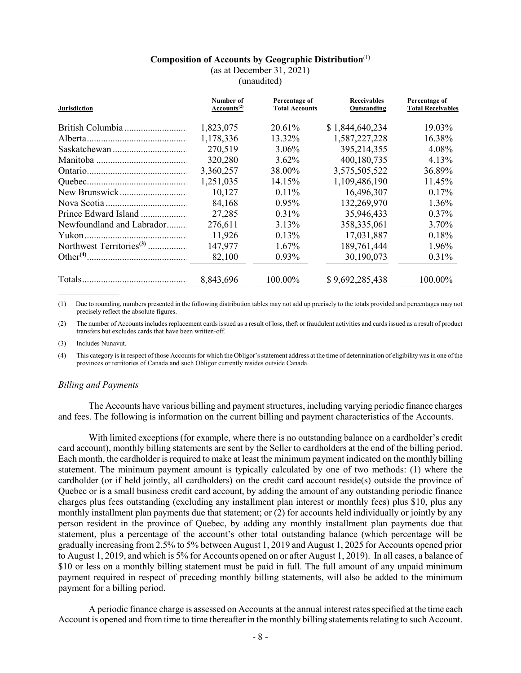# **Composition of Accounts by Geographic Distribution**(1)

(as at December 31, 2021)

(unaudited)

| <b>Jurisdiction</b>       | Number of<br>Accounts <sup>(2)</sup> | Percentage of<br><b>Total Accounts</b> | <b>Receivables</b><br>Outstanding | Percentage of<br><b>Total Receivables</b> |
|---------------------------|--------------------------------------|----------------------------------------|-----------------------------------|-------------------------------------------|
|                           | 1,823,075                            | 20.61%                                 | \$1,844,640,234                   | 19.03%                                    |
|                           | 1,178,336                            | 13.32%                                 | 1,587,227,228                     | 16.38%                                    |
|                           | 270,519                              | $3.06\%$                               | 395,214,355                       | 4.08%                                     |
|                           | 320,280                              | $3.62\%$                               | 400,180,735                       | 4.13%                                     |
|                           | 3,360,257                            | 38.00%                                 | 3,575,505,522                     | 36.89%                                    |
|                           | 1,251,035                            | 14.15%                                 | 1,109,486,190                     | 11.45%                                    |
|                           | 10,127                               | $0.11\%$                               | 16,496,307                        | 0.17%                                     |
|                           | 84,168                               | $0.95\%$                               | 132,269,970                       | 1.36%                                     |
| Prince Edward Island      | 27,285                               | $0.31\%$                               | 35,946,433                        | $0.37\%$                                  |
| Newfoundland and Labrador | 276,611                              | 3.13%                                  | 358, 335, 061                     | 3.70%                                     |
|                           | 11,926                               | $0.13\%$                               | 17,031,887                        | 0.18%                                     |
|                           | 147,977                              | $1.67\%$                               | 189,761,444                       | 1.96%                                     |
|                           | 82,100                               | 0.93%                                  | 30,190,073                        | 0.31%                                     |
|                           | 8,843,696                            | 100.00%                                | \$9,692,285,438                   | 100.00%                                   |

(1) Due to rounding, numbers presented in the following distribution tables may not add up precisely to the totals provided and percentages may not precisely reflect the absolute figures.

(2) The number of Accounts includes replacement cards issued as a result of loss, theft or fraudulent activities and cards issued as a result of product transfers but excludes cards that have been written-off.

(3) Includes Nunavut.

(4) This category is in respect of those Accounts for which the Obligor's statement address at the time of determination of eligibility was in one of the provinces or territories of Canada and such Obligor currently resides outside Canada.

### *Billing and Payments*

The Accounts have various billing and payment structures, including varying periodic finance charges and fees. The following is information on the current billing and payment characteristics of the Accounts.

With limited exceptions (for example, where there is no outstanding balance on a cardholder's credit card account), monthly billing statements are sent by the Seller to cardholders at the end of the billing period. Each month, the cardholder is required to make at least the minimum payment indicated on the monthly billing statement. The minimum payment amount is typically calculated by one of two methods: (1) where the cardholder (or if held jointly, all cardholders) on the credit card account reside(s) outside the province of Quebec or is a small business credit card account, by adding the amount of any outstanding periodic finance charges plus fees outstanding (excluding any installment plan interest or monthly fees) plus \$10, plus any monthly installment plan payments due that statement; or (2) for accounts held individually or jointly by any person resident in the province of Quebec, by adding any monthly installment plan payments due that statement, plus a percentage of the account's other total outstanding balance (which percentage will be gradually increasing from 2.5% to 5% between August 1, 2019 and August 1, 2025 for Accounts opened prior to August 1, 2019, and which is 5% for Accounts opened on or after August 1, 2019). In all cases, a balance of \$10 or less on a monthly billing statement must be paid in full. The full amount of any unpaid minimum payment required in respect of preceding monthly billing statements, will also be added to the minimum payment for a billing period.

A periodic finance charge is assessed on Accounts at the annual interest rates specified at the time each Account is opened and from time to time thereafter in the monthly billing statements relating to such Account.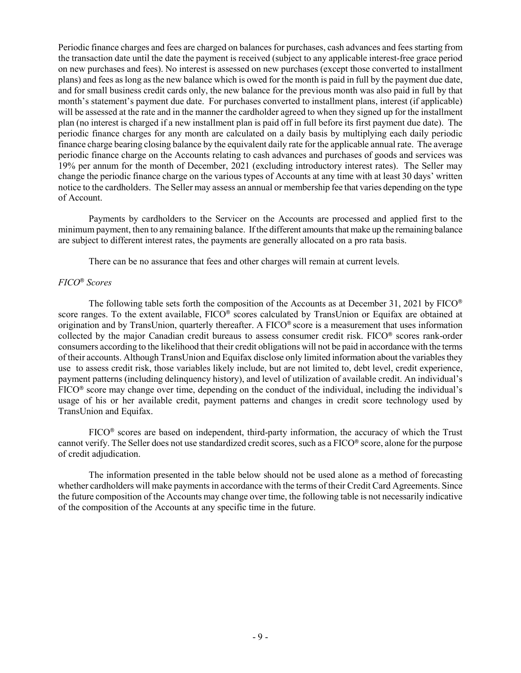Periodic finance charges and fees are charged on balances for purchases, cash advances and fees starting from the transaction date until the date the payment is received (subject to any applicable interest-free grace period on new purchases and fees). No interest is assessed on new purchases (except those converted to installment plans) and fees as long as the new balance which is owed for the month is paid in full by the payment due date, and for small business credit cards only, the new balance for the previous month was also paid in full by that month's statement's payment due date. For purchases converted to installment plans, interest (if applicable) will be assessed at the rate and in the manner the cardholder agreed to when they signed up for the installment plan (no interest is charged if a new installment plan is paid off in full before its first payment due date). The periodic finance charges for any month are calculated on a daily basis by multiplying each daily periodic finance charge bearing closing balance by the equivalent daily rate for the applicable annual rate. The average periodic finance charge on the Accounts relating to cash advances and purchases of goods and services was 19% per annum for the month of December, 2021 (excluding introductory interest rates). The Seller may change the periodic finance charge on the various types of Accounts at any time with at least 30 days' written notice to the cardholders. The Seller may assess an annual or membership fee that varies depending on the type of Account.

Payments by cardholders to the Servicer on the Accounts are processed and applied first to the minimum payment, then to any remaining balance. If the different amounts that make up the remaining balance are subject to different interest rates, the payments are generally allocated on a pro rata basis.

There can be no assurance that fees and other charges will remain at current levels.

# *FICO*® *Scores*

The following table sets forth the composition of the Accounts as at December 31, 2021 by FICO® score ranges. To the extent available, FICO® scores calculated by TransUnion or Equifax are obtained at origination and by TransUnion, quarterly thereafter. A FICO® score is a measurement that uses information collected by the major Canadian credit bureaus to assess consumer credit risk. FICO® scores rank-order consumers according to the likelihood that their credit obligations will not be paid in accordance with the terms of their accounts. Although TransUnion and Equifax disclose only limited information about the variables they use to assess credit risk, those variables likely include, but are not limited to, debt level, credit experience, payment patterns (including delinquency history), and level of utilization of available credit. An individual's FICO® score may change over time, depending on the conduct of the individual, including the individual's usage of his or her available credit, payment patterns and changes in credit score technology used by TransUnion and Equifax.

FICO® scores are based on independent, third-party information, the accuracy of which the Trust cannot verify. The Seller does not use standardized credit scores, such as a FICO® score, alone for the purpose of credit adjudication.

The information presented in the table below should not be used alone as a method of forecasting whether cardholders will make payments in accordance with the terms of their Credit Card Agreements. Since the future composition of the Accounts may change over time, the following table is not necessarily indicative of the composition of the Accounts at any specific time in the future.